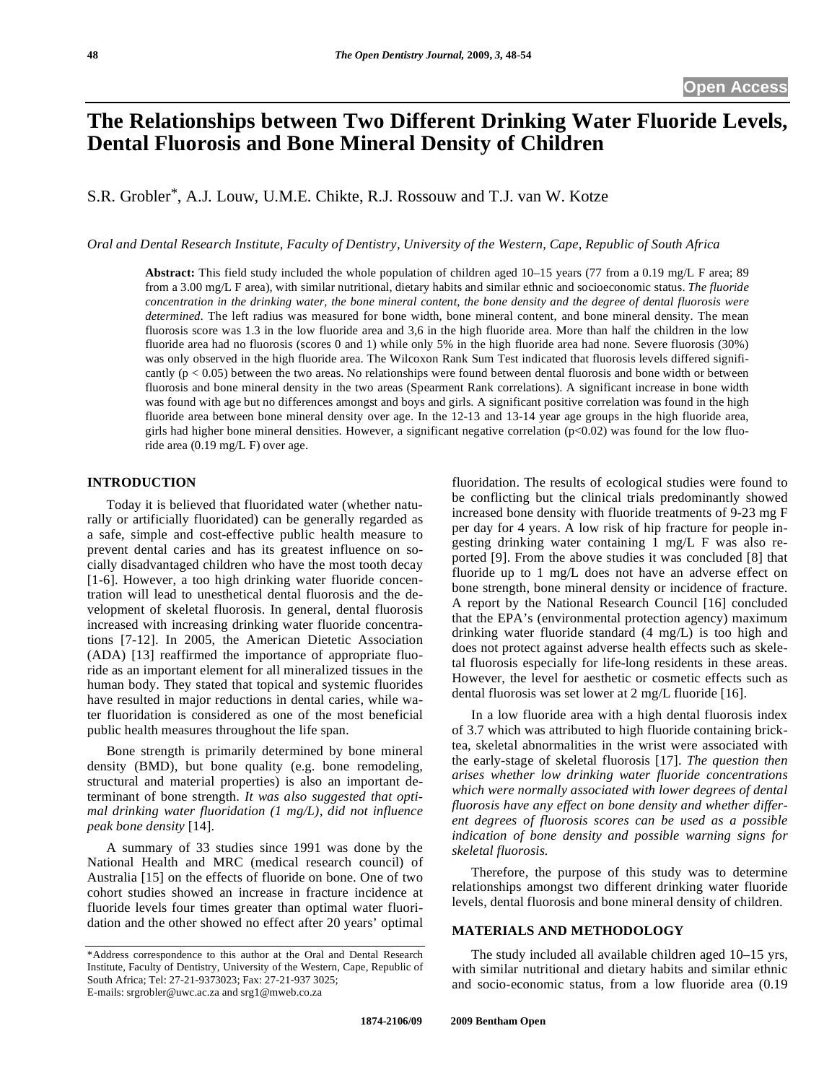# **The Relationships between Two Different Drinking Water Fluoride Levels, Dental Fluorosis and Bone Mineral Density of Children**

S.R. Grobler\*, A.J. Louw, U.M.E. Chikte, R.J. Rossouw and T.J. van W. Kotze

*Oral and Dental Research Institute, Faculty of Dentistry, University of the Western, Cape, Republic of South Africa* 

**Abstract:** This field study included the whole population of children aged 10–15 years (77 from a 0.19 mg/L F area; 89 from a 3.00 mg/L F area), with similar nutritional, dietary habits and similar ethnic and socioeconomic status. *The fluoride concentration in the drinking water, the bone mineral content, the bone density and the degree of dental fluorosis were determined*. The left radius was measured for bone width, bone mineral content, and bone mineral density. The mean fluorosis score was 1.3 in the low fluoride area and 3,6 in the high fluoride area. More than half the children in the low fluoride area had no fluorosis (scores 0 and 1) while only 5% in the high fluoride area had none. Severe fluorosis (30%) was only observed in the high fluoride area. The Wilcoxon Rank Sum Test indicated that fluorosis levels differed significantly  $(p < 0.05)$  between the two areas. No relationships were found between dental fluorosis and bone width or between fluorosis and bone mineral density in the two areas (Spearment Rank correlations). A significant increase in bone width was found with age but no differences amongst and boys and girls. A significant positive correlation was found in the high fluoride area between bone mineral density over age. In the 12-13 and 13-14 year age groups in the high fluoride area, girls had higher bone mineral densities. However, a significant negative correlation  $(p<0.02)$  was found for the low fluoride area (0.19 mg/L F) over age.

## **INTRODUCTION**

 Today it is believed that fluoridated water (whether naturally or artificially fluoridated) can be generally regarded as a safe, simple and cost-effective public health measure to prevent dental caries and has its greatest influence on socially disadvantaged children who have the most tooth decay [1-6]. However, a too high drinking water fluoride concentration will lead to unesthetical dental fluorosis and the development of skeletal fluorosis. In general, dental fluorosis increased with increasing drinking water fluoride concentrations [7-12]. In 2005, the American Dietetic Association (ADA) [13] reaffirmed the importance of appropriate fluoride as an important element for all mineralized tissues in the human body. They stated that topical and systemic fluorides have resulted in major reductions in dental caries, while water fluoridation is considered as one of the most beneficial public health measures throughout the life span.

 Bone strength is primarily determined by bone mineral density (BMD), but bone quality (e.g. bone remodeling, structural and material properties) is also an important determinant of bone strength. *It was also suggested that optimal drinking water fluoridation (1 mg/L), did not influence peak bone density* [14].

 A summary of 33 studies since 1991 was done by the National Health and MRC (medical research council) of Australia [15] on the effects of fluoride on bone. One of two cohort studies showed an increase in fracture incidence at fluoride levels four times greater than optimal water fluoridation and the other showed no effect after 20 years' optimal fluoridation. The results of ecological studies were found to be conflicting but the clinical trials predominantly showed increased bone density with fluoride treatments of 9-23 mg F per day for 4 years. A low risk of hip fracture for people ingesting drinking water containing 1 mg/L F was also reported [9]. From the above studies it was concluded [8] that fluoride up to 1 mg/L does not have an adverse effect on bone strength, bone mineral density or incidence of fracture. A report by the National Research Council [16] concluded that the EPA's (environmental protection agency) maximum drinking water fluoride standard (4 mg/L) is too high and does not protect against adverse health effects such as skeletal fluorosis especially for life-long residents in these areas. However, the level for aesthetic or cosmetic effects such as dental fluorosis was set lower at 2 mg/L fluoride [16].

 In a low fluoride area with a high dental fluorosis index of 3.7 which was attributed to high fluoride containing bricktea, skeletal abnormalities in the wrist were associated with the early-stage of skeletal fluorosis [17]. *The question then arises whether low drinking water fluoride concentrations which were normally associated with lower degrees of dental fluorosis have any effect on bone density and whether different degrees of fluorosis scores can be used as a possible indication of bone density and possible warning signs for skeletal fluorosis.* 

 Therefore, the purpose of this study was to determine relationships amongst two different drinking water fluoride levels, dental fluorosis and bone mineral density of children.

## **MATERIALS AND METHODOLOGY**

 The study included all available children aged 10–15 yrs, with similar nutritional and dietary habits and similar ethnic and socio-economic status, from a low fluoride area (0.19

<sup>\*</sup>Address correspondence to this author at the Oral and Dental Research Institute, Faculty of Dentistry, University of the Western, Cape, Republic of South Africa; Tel: 27-21-9373023; Fax: 27-21-937 3025; E-mails: srgrobler@uwc.ac.za and srg1@mweb.co.za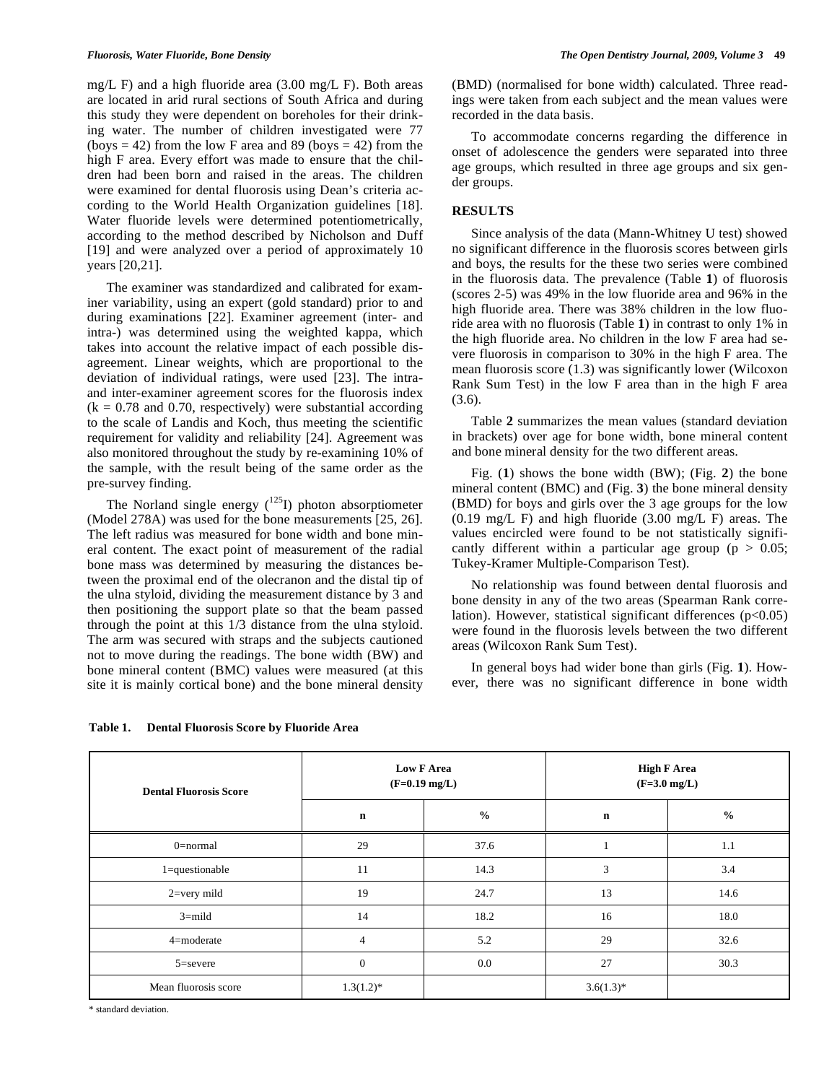mg/L F) and a high fluoride area (3.00 mg/L F). Both areas are located in arid rural sections of South Africa and during this study they were dependent on boreholes for their drinking water. The number of children investigated were 77 (boys  $= 42$ ) from the low F area and 89 (boys  $= 42$ ) from the high F area. Every effort was made to ensure that the children had been born and raised in the areas. The children were examined for dental fluorosis using Dean's criteria according to the World Health Organization guidelines [18]. Water fluoride levels were determined potentiometrically, according to the method described by Nicholson and Duff [19] and were analyzed over a period of approximately 10 years [20,21].

 The examiner was standardized and calibrated for examiner variability, using an expert (gold standard) prior to and during examinations [22]. Examiner agreement (inter- and intra-) was determined using the weighted kappa, which takes into account the relative impact of each possible disagreement. Linear weights, which are proportional to the deviation of individual ratings, were used [23]. The intraand inter-examiner agreement scores for the fluorosis index  $(k = 0.78$  and 0.70, respectively) were substantial according to the scale of Landis and Koch, thus meeting the scientific requirement for validity and reliability [24]. Agreement was also monitored throughout the study by re-examining 10% of the sample, with the result being of the same order as the pre-survey finding.

The Norland single energy  $(^{125}I)$  photon absorptiometer (Model 278A) was used for the bone measurements [25, 26]. The left radius was measured for bone width and bone mineral content. The exact point of measurement of the radial bone mass was determined by measuring the distances between the proximal end of the olecranon and the distal tip of the ulna styloid, dividing the measurement distance by 3 and then positioning the support plate so that the beam passed through the point at this 1/3 distance from the ulna styloid. The arm was secured with straps and the subjects cautioned not to move during the readings. The bone width (BW) and bone mineral content (BMC) values were measured (at this site it is mainly cortical bone) and the bone mineral density

**Table 1. Dental Fluorosis Score by Fluoride Area** 

(BMD) (normalised for bone width) calculated. Three readings were taken from each subject and the mean values were recorded in the data basis.

 To accommodate concerns regarding the difference in onset of adolescence the genders were separated into three age groups, which resulted in three age groups and six gender groups.

# **RESULTS**

 Since analysis of the data (Mann-Whitney U test) showed no significant difference in the fluorosis scores between girls and boys, the results for the these two series were combined in the fluorosis data. The prevalence (Table **1**) of fluorosis (scores 2-5) was 49% in the low fluoride area and 96% in the high fluoride area. There was 38% children in the low fluoride area with no fluorosis (Table **1**) in contrast to only 1% in the high fluoride area. No children in the low F area had severe fluorosis in comparison to 30% in the high F area. The mean fluorosis score (1.3) was significantly lower (Wilcoxon Rank Sum Test) in the low F area than in the high F area (3.6).

 Table **2** summarizes the mean values (standard deviation in brackets) over age for bone width, bone mineral content and bone mineral density for the two different areas.

 Fig. (**1**) shows the bone width (BW); (Fig. **2**) the bone mineral content (BMC) and (Fig. **3**) the bone mineral density (BMD) for boys and girls over the 3 age groups for the low (0.19 mg/L F) and high fluoride (3.00 mg/L F) areas. The values encircled were found to be not statistically significantly different within a particular age group ( $p > 0.05$ ; Tukey-Kramer Multiple-Comparison Test).

 No relationship was found between dental fluorosis and bone density in any of the two areas (Spearman Rank correlation). However, statistical significant differences  $(p<0.05)$ were found in the fluorosis levels between the two different areas (Wilcoxon Rank Sum Test).

 In general boys had wider bone than girls (Fig. **1**). However, there was no significant difference in bone width

| <b>Dental Fluorosis Score</b> | <b>Low F Area</b><br>$(F=0.19 \text{ mg/L})$ |               | <b>High F Area</b><br>$(F=3.0 \text{ mg/L})$ |               |
|-------------------------------|----------------------------------------------|---------------|----------------------------------------------|---------------|
|                               | $\mathbf n$                                  | $\frac{0}{0}$ | $\mathbf n$                                  | $\frac{0}{0}$ |
| $0$ =normal                   | 29                                           | 37.6          |                                              | 1.1           |
| 1=questionable                | 11                                           | 14.3          | 3                                            | 3.4           |
| $2 = \text{very mild}$        | 19                                           | 24.7          | 13                                           | 14.6          |
| $3 = mid$                     | 14                                           | 18.2          | 16                                           | 18.0          |
| 4=moderate                    | $\overline{4}$                               | 5.2           | 29                                           | 32.6          |
| $5 =$ severe                  | $\theta$                                     | 0.0           | 27                                           | 30.3          |
| Mean fluorosis score          | $1.3(1.2)^*$                                 |               | $3.6(1.3)*$                                  |               |

\* standard deviation.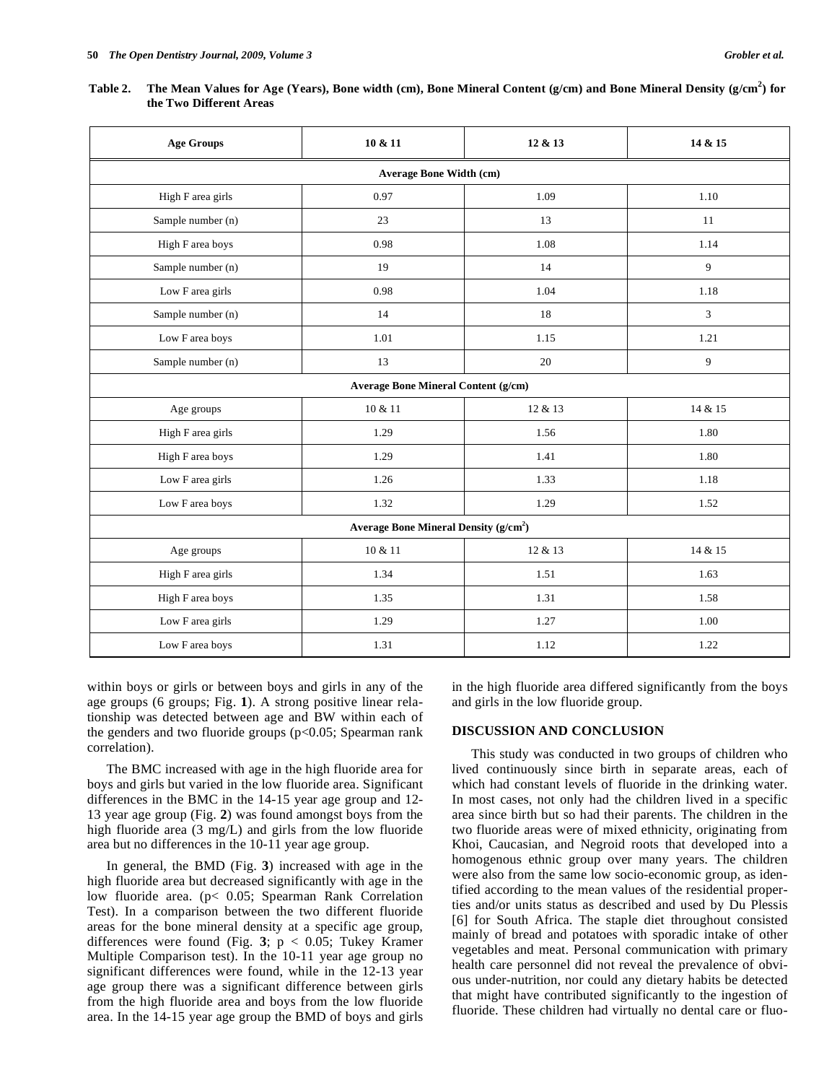| <b>Age Groups</b>                      | 10 & 11                                    | 12 & 13 | 14 & 15 |  |  |
|----------------------------------------|--------------------------------------------|---------|---------|--|--|
| <b>Average Bone Width (cm)</b>         |                                            |         |         |  |  |
| High F area girls                      | 0.97                                       | 1.09    | 1.10    |  |  |
| Sample number (n)                      | 23                                         | 13      | 11      |  |  |
| High F area boys                       | 0.98                                       | 1.08    | 1.14    |  |  |
| Sample number (n)                      | 19                                         | 14      | 9       |  |  |
| Low F area girls                       | 0.98                                       | 1.04    | 1.18    |  |  |
| Sample number (n)                      | 14                                         | 18      | 3       |  |  |
| Low F area boys                        | 1.01                                       | 1.15    | 1.21    |  |  |
| Sample number (n)                      | 13                                         | 20      | 9       |  |  |
|                                        | <b>Average Bone Mineral Content (g/cm)</b> |         |         |  |  |
| Age groups                             | 10 & 11                                    | 12 & 13 | 14 & 15 |  |  |
| High F area girls                      | 1.29                                       | 1.56    | 1.80    |  |  |
| High F area boys                       | 1.29                                       | 1.41    | 1.80    |  |  |
| Low F area girls                       | 1.26                                       | 1.33    | 1.18    |  |  |
| Low F area boys                        | 1.32                                       | 1.29    | 1.52    |  |  |
| Average Bone Mineral Density $(g/cm2)$ |                                            |         |         |  |  |
| Age groups                             | 10 & 11                                    | 12 & 13 | 14 & 15 |  |  |
| High F area girls                      | 1.34                                       | 1.51    | 1.63    |  |  |
| High F area boys                       | 1.35                                       | 1.31    | 1.58    |  |  |
| Low F area girls                       | 1.29                                       | 1.27    | 1.00    |  |  |
| Low F area boys                        | 1.31                                       | 1.12    | 1.22    |  |  |

**Table 2. The Mean Values for Age (Years), Bone width (cm), Bone Mineral Content (g/cm) and Bone Mineral Density (g/cm<sup>2</sup> ) for the Two Different Areas** 

within boys or girls or between boys and girls in any of the age groups (6 groups; Fig. **1**). A strong positive linear relationship was detected between age and BW within each of the genders and two fluoride groups ( $p<0.05$ ; Spearman rank correlation).

 The BMC increased with age in the high fluoride area for boys and girls but varied in the low fluoride area. Significant differences in the BMC in the 14-15 year age group and 12- 13 year age group (Fig. **2**) was found amongst boys from the high fluoride area (3 mg/L) and girls from the low fluoride area but no differences in the 10-11 year age group.

 In general, the BMD (Fig. **3**) increased with age in the high fluoride area but decreased significantly with age in the low fluoride area. (p< 0.05; Spearman Rank Correlation Test). In a comparison between the two different fluoride areas for the bone mineral density at a specific age group, differences were found (Fig. **3**; p < 0.05; Tukey Kramer Multiple Comparison test). In the 10-11 year age group no significant differences were found, while in the 12-13 year age group there was a significant difference between girls from the high fluoride area and boys from the low fluoride area. In the 14-15 year age group the BMD of boys and girls in the high fluoride area differed significantly from the boys and girls in the low fluoride group.

### **DISCUSSION AND CONCLUSION**

 This study was conducted in two groups of children who lived continuously since birth in separate areas, each of which had constant levels of fluoride in the drinking water. In most cases, not only had the children lived in a specific area since birth but so had their parents. The children in the two fluoride areas were of mixed ethnicity, originating from Khoi, Caucasian, and Negroid roots that developed into a homogenous ethnic group over many years. The children were also from the same low socio-economic group, as identified according to the mean values of the residential properties and/or units status as described and used by Du Plessis [6] for South Africa. The staple diet throughout consisted mainly of bread and potatoes with sporadic intake of other vegetables and meat. Personal communication with primary health care personnel did not reveal the prevalence of obvious under-nutrition, nor could any dietary habits be detected that might have contributed significantly to the ingestion of fluoride. These children had virtually no dental care or fluo-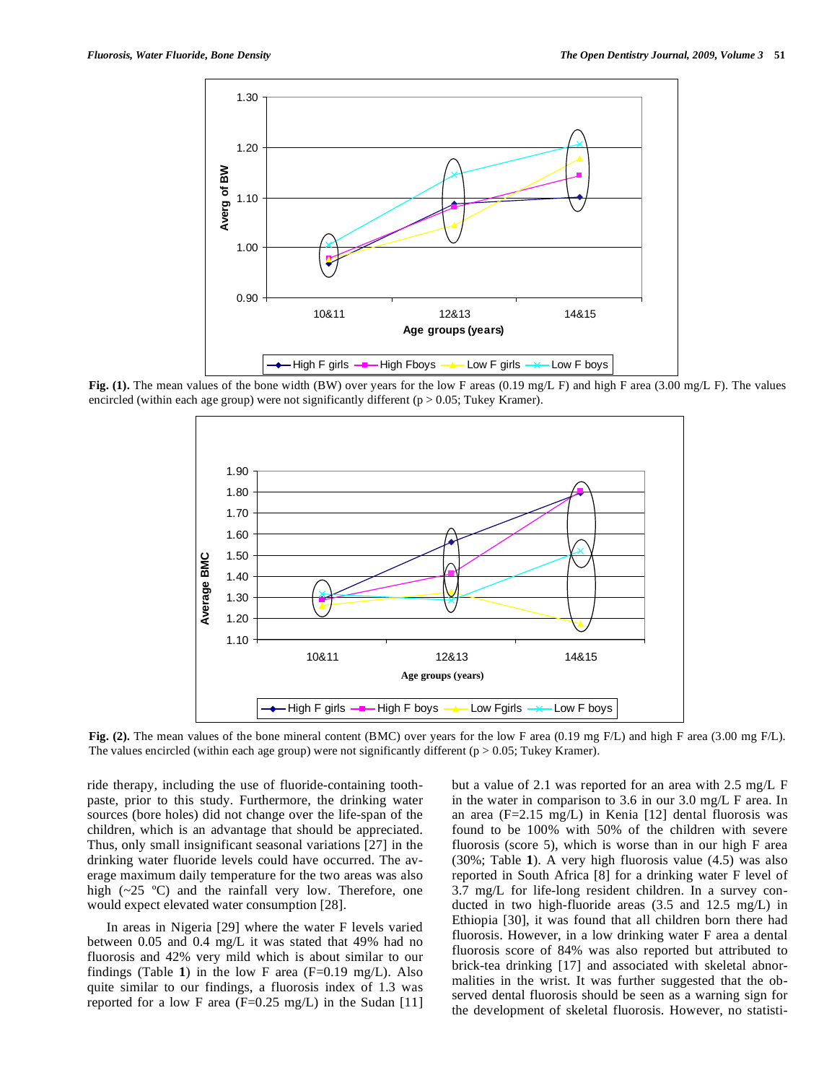

**Fig. (1).** The mean values of the bone width (BW) over years for the low F areas (0.19 mg/L F) and high F area (3.00 mg/L F). The values encircled (within each age group) were not significantly different ( $p > 0.05$ ; Tukey Kramer).



Fig. (2). The mean values of the bone mineral content (BMC) over years for the low F area (0.19 mg F/L) and high F area (3.00 mg F/L). The values encircled (within each age group) were not significantly different ( $p > 0.05$ ; Tukey Kramer).

ride therapy, including the use of fluoride-containing toothpaste, prior to this study. Furthermore, the drinking water sources (bore holes) did not change over the life-span of the children, which is an advantage that should be appreciated. Thus, only small insignificant seasonal variations [27] in the drinking water fluoride levels could have occurred. The average maximum daily temperature for the two areas was also high  $(\sim 25 \text{ °C})$  and the rainfall very low. Therefore, one would expect elevated water consumption [28].

 In areas in Nigeria [29] where the water F levels varied between 0.05 and 0.4 mg/L it was stated that 49% had no fluorosis and 42% very mild which is about similar to our findings (Table 1) in the low F area  $(F=0.19 \text{ mg/L})$ . Also quite similar to our findings, a fluorosis index of 1.3 was reported for a low F area  $(F=0.25 \text{ mg/L})$  in the Sudan [11] but a value of 2.1 was reported for an area with 2.5 mg/L F in the water in comparison to 3.6 in our 3.0 mg/L F area. In an area (F=2.15 mg/L) in Kenia [12] dental fluorosis was found to be 100% with 50% of the children with severe fluorosis (score 5), which is worse than in our high F area (30%; Table **1**). A very high fluorosis value (4.5) was also reported in South Africa [8] for a drinking water F level of 3.7 mg/L for life-long resident children. In a survey conducted in two high-fluoride areas (3.5 and 12.5 mg/L) in Ethiopia [30], it was found that all children born there had fluorosis. However, in a low drinking water F area a dental fluorosis score of 84% was also reported but attributed to brick-tea drinking [17] and associated with skeletal abnormalities in the wrist. It was further suggested that the observed dental fluorosis should be seen as a warning sign for the development of skeletal fluorosis. However, no statisti-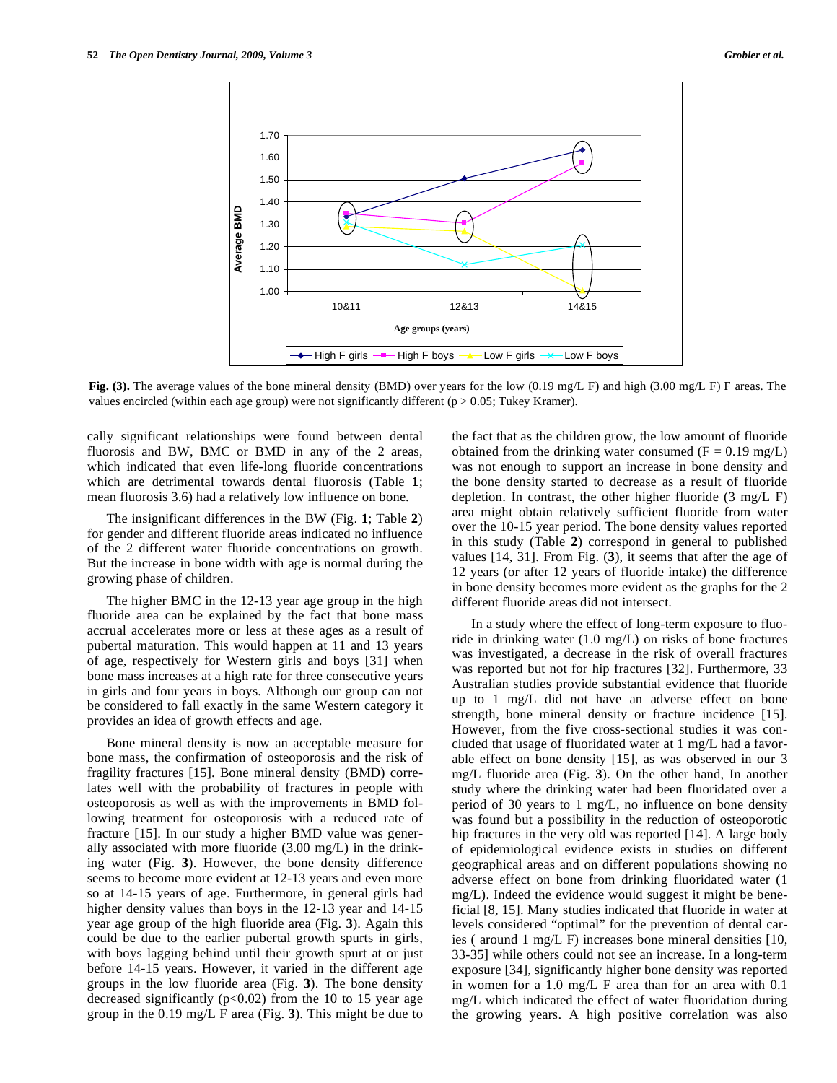

**Fig. (3).** The average values of the bone mineral density (BMD) over years for the low (0.19 mg/L F) and high (3.00 mg/L F) F areas. The values encircled (within each age group) were not significantly different ( $p > 0.05$ ; Tukey Kramer).

cally significant relationships were found between dental fluorosis and BW, BMC or BMD in any of the 2 areas, which indicated that even life-long fluoride concentrations which are detrimental towards dental fluorosis (Table **1**; mean fluorosis 3.6) had a relatively low influence on bone.

 The insignificant differences in the BW (Fig. **1**; Table **2**) for gender and different fluoride areas indicated no influence of the 2 different water fluoride concentrations on growth. But the increase in bone width with age is normal during the growing phase of children.

 The higher BMC in the 12-13 year age group in the high fluoride area can be explained by the fact that bone mass accrual accelerates more or less at these ages as a result of pubertal maturation. This would happen at 11 and 13 years of age, respectively for Western girls and boys [31] when bone mass increases at a high rate for three consecutive years in girls and four years in boys. Although our group can not be considered to fall exactly in the same Western category it provides an idea of growth effects and age.

 Bone mineral density is now an acceptable measure for bone mass, the confirmation of osteoporosis and the risk of fragility fractures [15]. Bone mineral density (BMD) correlates well with the probability of fractures in people with osteoporosis as well as with the improvements in BMD following treatment for osteoporosis with a reduced rate of fracture [15]. In our study a higher BMD value was generally associated with more fluoride (3.00 mg/L) in the drinking water (Fig. **3**). However, the bone density difference seems to become more evident at 12-13 years and even more so at 14-15 years of age. Furthermore, in general girls had higher density values than boys in the 12-13 year and 14-15 year age group of the high fluoride area (Fig. **3**). Again this could be due to the earlier pubertal growth spurts in girls, with boys lagging behind until their growth spurt at or just before 14-15 years. However, it varied in the different age groups in the low fluoride area (Fig. **3**). The bone density decreased significantly  $(p<0.02)$  from the 10 to 15 year age group in the 0.19 mg/L F area (Fig. **3**). This might be due to

the fact that as the children grow, the low amount of fluoride obtained from the drinking water consumed  $(F = 0.19 \text{ mg/L})$ was not enough to support an increase in bone density and the bone density started to decrease as a result of fluoride depletion. In contrast, the other higher fluoride (3 mg/L F) area might obtain relatively sufficient fluoride from water over the 10-15 year period. The bone density values reported in this study (Table **2**) correspond in general to published values [14, 31]. From Fig. (**3**), it seems that after the age of 12 years (or after 12 years of fluoride intake) the difference in bone density becomes more evident as the graphs for the 2 different fluoride areas did not intersect.

 In a study where the effect of long-term exposure to fluoride in drinking water (1.0 mg/L) on risks of bone fractures was investigated, a decrease in the risk of overall fractures was reported but not for hip fractures [32]. Furthermore, 33 Australian studies provide substantial evidence that fluoride up to 1 mg/L did not have an adverse effect on bone strength, bone mineral density or fracture incidence [15]. However, from the five cross-sectional studies it was concluded that usage of fluoridated water at 1 mg/L had a favorable effect on bone density [15], as was observed in our 3 mg/L fluoride area (Fig. **3**). On the other hand, In another study where the drinking water had been fluoridated over a period of 30 years to 1 mg/L, no influence on bone density was found but a possibility in the reduction of osteoporotic hip fractures in the very old was reported [14]. A large body of epidemiological evidence exists in studies on different geographical areas and on different populations showing no adverse effect on bone from drinking fluoridated water (1 mg/L). Indeed the evidence would suggest it might be beneficial [8, 15]. Many studies indicated that fluoride in water at levels considered "optimal" for the prevention of dental caries ( around 1 mg/L F) increases bone mineral densities [10, 33-35] while others could not see an increase. In a long-term exposure [34], significantly higher bone density was reported in women for a 1.0 mg/L F area than for an area with 0.1 mg/L which indicated the effect of water fluoridation during the growing years. A high positive correlation was also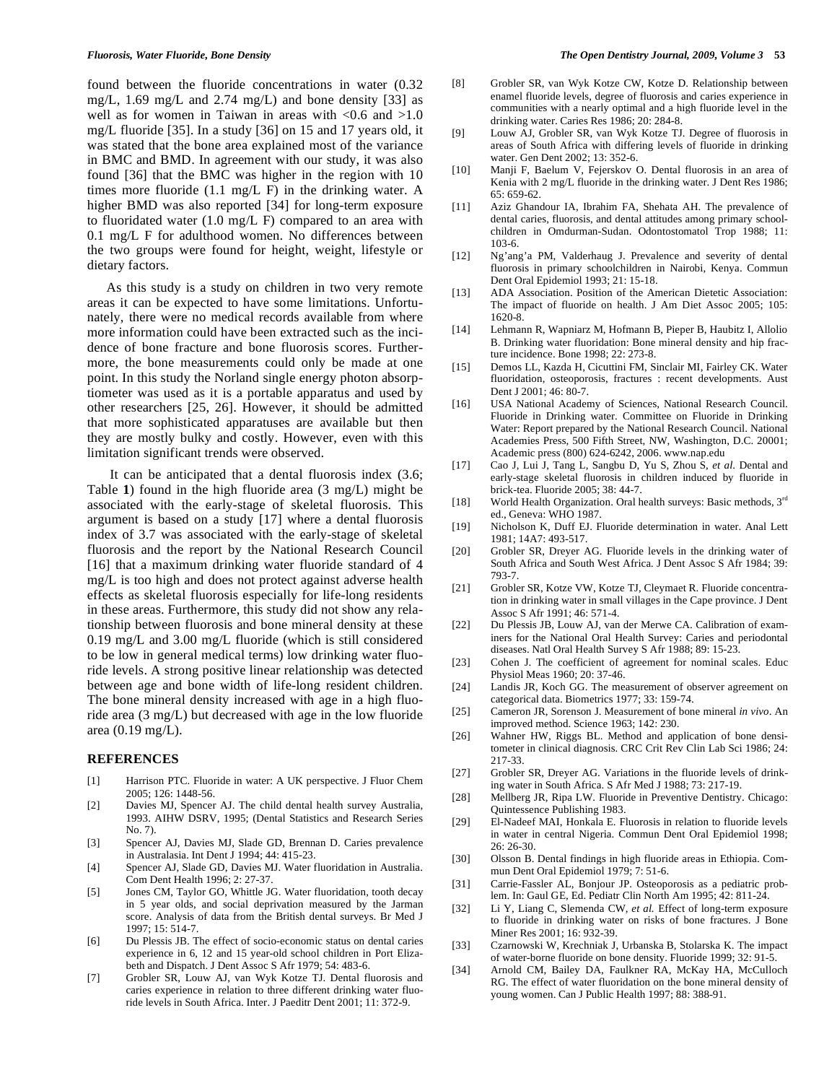found between the fluoride concentrations in water (0.32 mg/L,  $1.69$  mg/L and  $2.74$  mg/L) and bone density [33] as well as for women in Taiwan in areas with  $\langle 0.6 \text{ and } \rangle 1.0$ mg/L fluoride [35]. In a study [36] on 15 and 17 years old, it was stated that the bone area explained most of the variance in BMC and BMD. In agreement with our study, it was also found [36] that the BMC was higher in the region with 10 times more fluoride (1.1 mg/L F) in the drinking water. A higher BMD was also reported [34] for long-term exposure to fluoridated water  $(1.0 \text{ mg/L F})$  compared to an area with 0.1 mg/L F for adulthood women. No differences between the two groups were found for height, weight, lifestyle or dietary factors.

 As this study is a study on children in two very remote areas it can be expected to have some limitations. Unfortunately, there were no medical records available from where more information could have been extracted such as the incidence of bone fracture and bone fluorosis scores. Furthermore, the bone measurements could only be made at one point. In this study the Norland single energy photon absorptiometer was used as it is a portable apparatus and used by other researchers [25, 26]. However, it should be admitted that more sophisticated apparatuses are available but then they are mostly bulky and costly. However, even with this limitation significant trends were observed.

 It can be anticipated that a dental fluorosis index (3.6; Table **1**) found in the high fluoride area (3 mg/L) might be associated with the early-stage of skeletal fluorosis. This argument is based on a study [17] where a dental fluorosis index of 3.7 was associated with the early-stage of skeletal fluorosis and the report by the National Research Council [16] that a maximum drinking water fluoride standard of 4 mg/L is too high and does not protect against adverse health effects as skeletal fluorosis especially for life-long residents in these areas. Furthermore, this study did not show any relationship between fluorosis and bone mineral density at these 0.19 mg/L and 3.00 mg/L fluoride (which is still considered to be low in general medical terms) low drinking water fluoride levels. A strong positive linear relationship was detected between age and bone width of life-long resident children. The bone mineral density increased with age in a high fluoride area (3 mg/L) but decreased with age in the low fluoride area (0.19 mg/L).

#### **REFERENCES**

- [1] Harrison PTC. Fluoride in water: A UK perspective. J Fluor Chem 2005; 126: 1448-56.
- [2] Davies MJ, Spencer AJ. The child dental health survey Australia, 1993. AIHW DSRV, 1995; (Dental Statistics and Research Series No. 7).
- [3] Spencer AJ, Davies MJ, Slade GD, Brennan D. Caries prevalence in Australasia. Int Dent J 1994; 44: 415-23.
- [4] Spencer AJ, Slade GD, Davies MJ. Water fluoridation in Australia. Com Dent Health 1996; 2: 27-37.
- [5] Jones CM, Taylor GO, Whittle JG. Water fluoridation, tooth decay in 5 year olds, and social deprivation measured by the Jarman score. Analysis of data from the British dental surveys. Br Med J 1997; 15: 514-7.
- [6] Du Plessis JB. The effect of socio-economic status on dental caries experience in 6, 12 and 15 year-old school children in Port Elizabeth and Dispatch. J Dent Assoc S Afr 1979; 54: 483-6.
- [7] Grobler SR, Louw AJ, van Wyk Kotze TJ. Dental fluorosis and caries experience in relation to three different drinking water fluoride levels in South Africa. Inter. J Paeditr Dent 2001; 11: 372-9.
- [8] Grobler SR, van Wyk Kotze CW, Kotze D. Relationship between enamel fluoride levels, degree of fluorosis and caries experience in communities with a nearly optimal and a high fluoride level in the drinking water. Caries Res 1986; 20: 284-8.
- [9] Louw AJ, Grobler SR, van Wyk Kotze TJ. Degree of fluorosis in areas of South Africa with differing levels of fluoride in drinking water. Gen Dent 2002; 13: 352-6.
- [10] Manji F, Baelum V, Fejerskov O. Dental fluorosis in an area of Kenia with 2 mg/L fluoride in the drinking water. J Dent Res 1986; 65: 659-62.
- [11] Aziz Ghandour IA, Ibrahim FA, Shehata AH. The prevalence of dental caries, fluorosis, and dental attitudes among primary schoolchildren in Omdurman-Sudan. Odontostomatol Trop 1988; 11: 103-6.
- [12] Ng'ang'a PM, Valderhaug J. Prevalence and severity of dental fluorosis in primary schoolchildren in Nairobi, Kenya. Commun Dent Oral Epidemiol 1993; 21: 15-18.
- [13] ADA Association. Position of the American Dietetic Association: The impact of fluoride on health. J Am Diet Assoc 2005; 105: 1620-8.
- [14] Lehmann R, Wapniarz M, Hofmann B, Pieper B, Haubitz I, Allolio B. Drinking water fluoridation: Bone mineral density and hip fracture incidence. Bone 1998; 22: 273-8.
- [15] Demos LL, Kazda H, Cicuttini FM, Sinclair MI, Fairley CK. Water fluoridation, osteoporosis, fractures : recent developments. Aust Dent J 2001; 46: 80-7.
- [16] USA National Academy of Sciences, National Research Council. Fluoride in Drinking water. Committee on Fluoride in Drinking Water: Report prepared by the National Research Council. National Academies Press, 500 Fifth Street, NW, Washington, D.C. 20001; Academic press (800) 624-6242, 2006. www.nap.edu
- [17] Cao J, Lui J, Tang L, Sangbu D, Yu S, Zhou S, *et al*. Dental and early-stage skeletal fluorosis in children induced by fluoride in brick-tea. Fluoride 2005; 38: 44-7.
- [18] World Health Organization. Oral health surveys: Basic methods,  $3<sup>rd</sup>$ ed., Geneva: WHO 1987.
- [19] Nicholson K, Duff EJ. Fluoride determination in water. Anal Lett 1981; 14A7: 493-517.
- [20] Grobler SR, Dreyer AG. Fluoride levels in the drinking water of South Africa and South West Africa*.* J Dent Assoc S Afr 1984; 39: 793-7.
- [21] Grobler SR, Kotze VW, Kotze TJ, Cleymaet R. Fluoride concentration in drinking water in small villages in the Cape province. J Dent Assoc S Afr 1991; 46: 571-4.
- [22] Du Plessis JB, Louw AJ, van der Merwe CA. Calibration of examiners for the National Oral Health Survey: Caries and periodontal diseases. Natl Oral Health Survey S Afr 1988; 89: 15-23.
- [23] Cohen J. The coefficient of agreement for nominal scales. Educ Physiol Meas 1960; 20: 37-46.
- [24] Landis JR, Koch GG. The measurement of observer agreement on categorical data. Biometrics 1977; 33: 159-74.
- [25] Cameron JR, Sorenson J. Measurement of bone mineral *in vivo*. An improved method. Science 1963; 142: 230.
- [26] Wahner HW, Riggs BL. Method and application of bone densitometer in clinical diagnosis. CRC Crit Rev Clin Lab Sci 1986; 24: 217-33.
- [27] Grobler SR, Dreyer AG. Variations in the fluoride levels of drinking water in South Africa. S Afr Med J 1988; 73: 217-19.
- [28] Mellberg JR, Ripa LW. Fluoride in Preventive Dentistry. Chicago: Quintessence Publishing 1983.
- [29] El-Nadeef MAI, Honkala E. Fluorosis in relation to fluoride levels in water in central Nigeria. Commun Dent Oral Epidemiol 1998;  $26: 26-30.$
- [30] Olsson B. Dental findings in high fluoride areas in Ethiopia. Commun Dent Oral Epidemiol 1979; 7: 51-6.
- [31] Carrie-Fassler AL, Bonjour JP. Osteoporosis as a pediatric problem. In: Gaul GE, Ed. Pediatr Clin North Am 1995; 42: 811-24.
- [32] Li Y, Liang C, Slemenda CW, *et al.* Effect of long-term exposure to fluoride in drinking water on risks of bone fractures. J Bone Miner Res 2001; 16: 932-39.
- [33] Czarnowski W, Krechniak J, Urbanska B, Stolarska K. The impact of water-borne fluoride on bone density. Fluoride 1999; 32: 91-5.
- [34] Arnold CM, Bailey DA, Faulkner RA, McKay HA, McCulloch RG. The effect of water fluoridation on the bone mineral density of young women. Can J Public Health 1997; 88: 388-91.